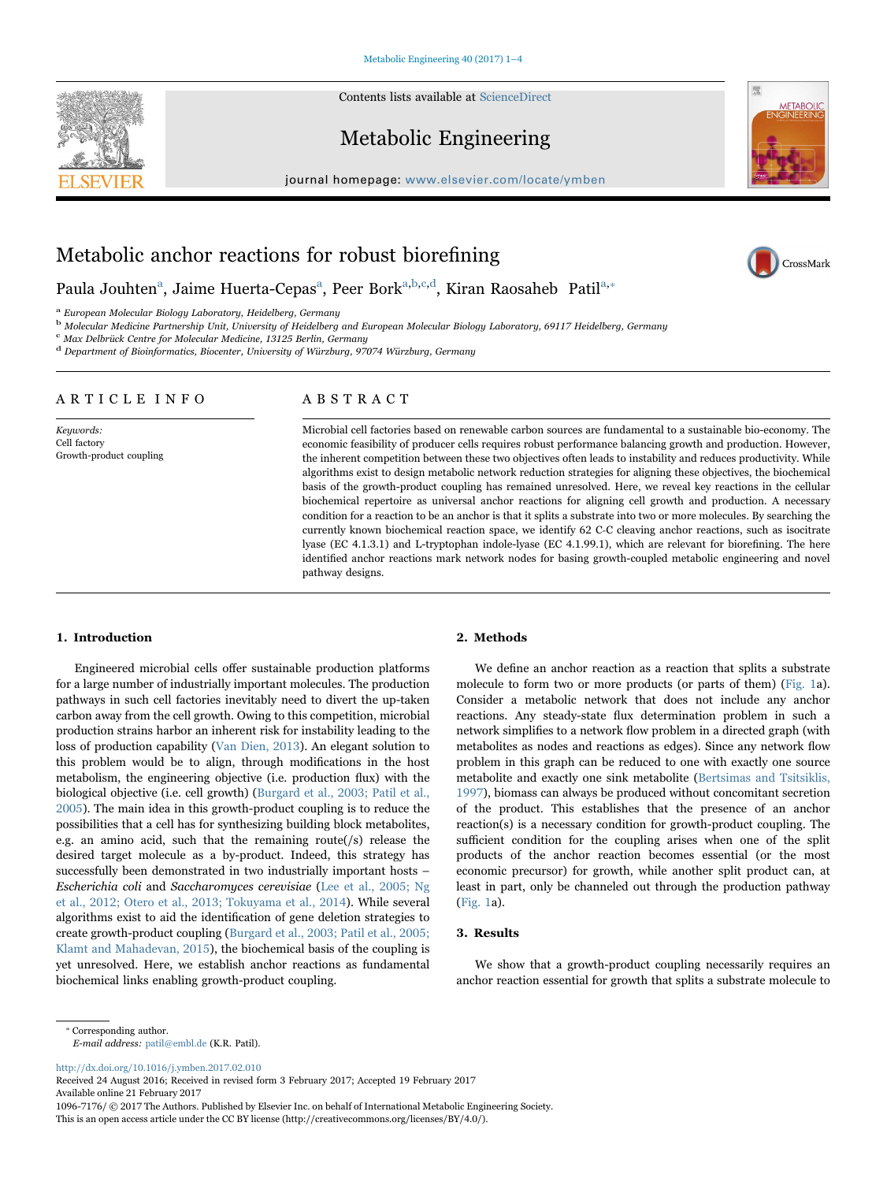Contents lists available at [ScienceDirect](http://www.sciencedirect.com/science/journal/10967176)





journal homepage: [www.elsevier.com/locate/ymben](http://www.elsevier.com/locate/ymben)



CrossMark

# Metabolic anchor reactions for robust biorefining

Paula Jouhten<sup>a</sup>[,](#page-0-0) [Jaime](#page-0-0) Huerta-Cepas<sup>a</sup>, Peer Bork<sup>a[,b,](#page-0-1)[c,d](#page-0-2)</sup>[, Kiran Raosaheb Patil](#page-0-3)<sup>[a,](#page-0-0)</sup>\*

<span id="page-0-0"></span><sup>a</sup> European Molecular Biology Laboratory, Heidelberg, Germany

<span id="page-0-1"></span><sup>b</sup> Molecular Medicine Partnership Unit, University of Heidelberg and European Molecular Biology Laboratory, 69117 Heidelberg, Germany

<span id="page-0-2"></span>Max Delbrück Centre for Molecular Medicine, 13125 Berlin, Germany

<span id="page-0-3"></span><sup>d</sup> Department of Bioinformatics, Biocenter, University of Würzburg, 97074 Würzburg, Germany

# ARTICLE INFO

Keywords: Cell factory Growth-product coupling

# ABSTRACT

Microbial cell factories based on renewable carbon sources are fundamental to a sustainable bio-economy. The economic feasibility of producer cells requires robust performance balancing growth and production. However, the inherent competition between these two objectives often leads to instability and reduces productivity. While algorithms exist to design metabolic network reduction strategies for aligning these objectives, the biochemical basis of the growth-product coupling has remained unresolved. Here, we reveal key reactions in the cellular biochemical repertoire as universal anchor reactions for aligning cell growth and production. A necessary condition for a reaction to be an anchor is that it splits a substrate into two or more molecules. By searching the currently known biochemical reaction space, we identify 62 C‐C cleaving anchor reactions, such as isocitrate lyase (EC 4.1.3.1) and L-tryptophan indole-lyase (EC 4.1.99.1), which are relevant for biorefining. The here identified anchor reactions mark network nodes for basing growth-coupled metabolic engineering and novel pathway designs.

## 1. Introduction

Engineered microbial cells offer sustainable production platforms for a large number of industrially important molecules. The production pathways in such cell factories inevitably need to divert the up-taken carbon away from the cell growth. Owing to this competition, microbial production strains harbor an inherent risk for instability leading to the loss of production capability [\(Van Dien, 2013](#page-3-0)). An elegant solution to this problem would be to align, through modifications in the host metabolism, the engineering objective (i.e. production flux) with the biological objective (i.e. cell growth) ([Burgard et al., 2003; Patil et al.,](#page-2-0) [2005\)](#page-2-0). The main idea in this growth-product coupling is to reduce the possibilities that a cell has for synthesizing building block metabolites, e.g. an amino acid, such that the remaining route(/s) release the desired target molecule as a by-product. Indeed, this strategy has successfully been demonstrated in two industrially important hosts – Escherichia coli and Saccharomyces cerevisiae [\(Lee et al., 2005; Ng](#page-3-1) [et al., 2012; Otero et al., 2013; Tokuyama et al., 2014](#page-3-1)). While several algorithms exist to aid the identification of gene deletion strategies to create growth-product coupling ([Burgard et al., 2003; Patil et al., 2005;](#page-2-0) [Klamt and Mahadevan, 2015\)](#page-2-0), the biochemical basis of the coupling is yet unresolved. Here, we establish anchor reactions as fundamental biochemical links enabling growth-product coupling.

#### 2. Methods

We define an anchor reaction as a reaction that splits a substrate molecule to form two or more products (or parts of them) [\(Fig. 1a](#page-1-0)). Consider a metabolic network that does not include any anchor reactions. Any steady-state flux determination problem in such a network simplifies to a network flow problem in a directed graph (with metabolites as nodes and reactions as edges). Since any network flow problem in this graph can be reduced to one with exactly one source metabolite and exactly one sink metabolite [\(Bertsimas and Tsitsiklis,](#page-2-1) [1997\)](#page-2-1), biomass can always be produced without concomitant secretion of the product. This establishes that the presence of an anchor reaction(s) is a necessary condition for growth-product coupling. The sufficient condition for the coupling arises when one of the split products of the anchor reaction becomes essential (or the most economic precursor) for growth, while another split product can, at least in part, only be channeled out through the production pathway ([Fig. 1](#page-1-0)a).

# 3. Results

We show that a growth-product coupling necessarily requires an anchor reaction essential for growth that splits a substrate molecule to

<span id="page-0-4"></span>⁎ Corresponding author.

E-mail address: patil@embl.de (K.R. Patil).

<http://dx.doi.org/10.1016/j.ymben.2017.02.010>

Received 24 August 2016; Received in revised form 3 February 2017; Accepted 19 February 2017 Available online 21 February 2017

1096-7176/ © 2017 The Authors. Published by Elsevier Inc. on behalf of International Metabolic Engineering Society. This is an open access article under the CC BY license (http://creativecommons.org/licenses/BY/4.0/).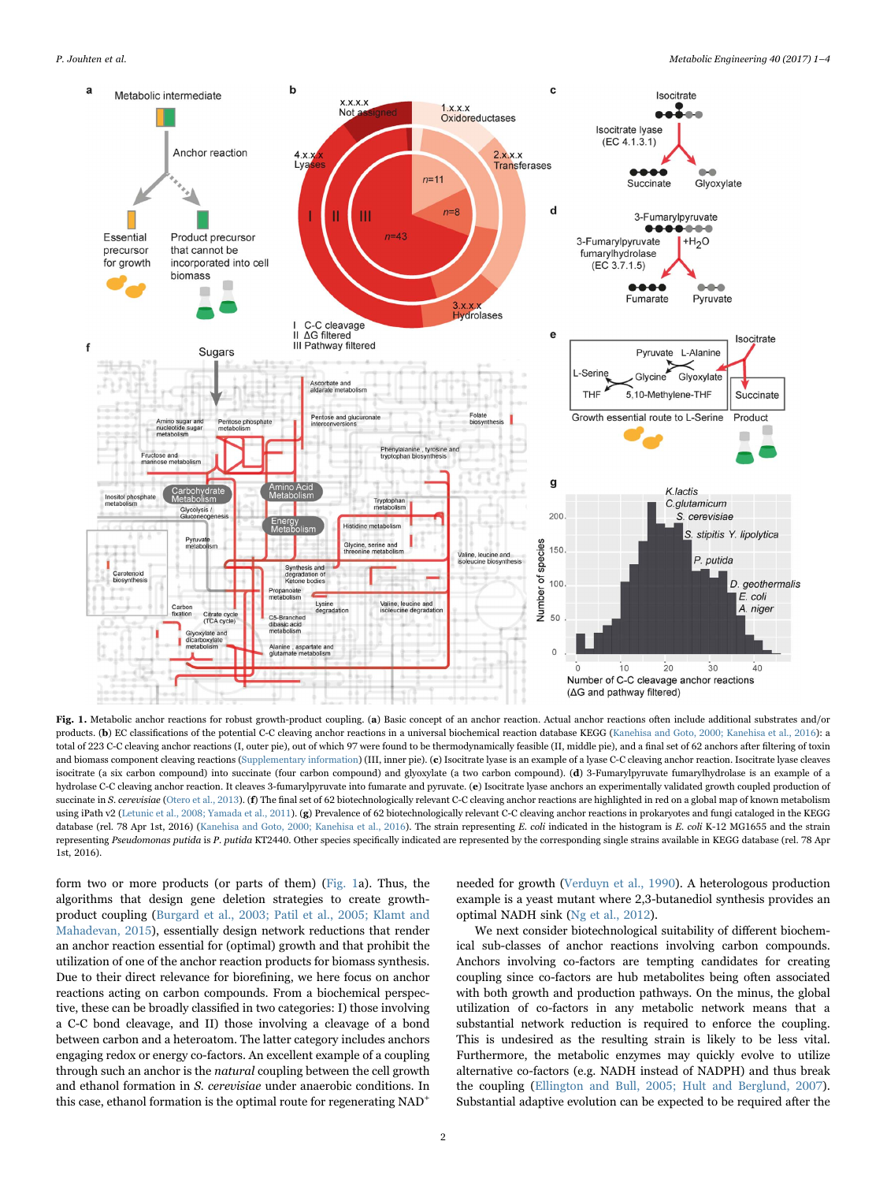<span id="page-1-0"></span>

Fig. 1. Metabolic anchor reactions for robust growth-product coupling. (a) Basic concept of an anchor reaction. Actual anchor reactions often include additional substrates and/or products. (b) EC classifications of the potential C-C cleaving anchor reactions in a universal biochemical reaction database KEGG ([Kanehisa and Goto, 2000; Kanehisa et al., 2016](#page-2-3)): a total of 223 C-C cleaving anchor reactions (I, outer pie), out of which 97 were found to be thermodynamically feasible (II, middle pie), and a final set of 62 anchors after filtering of toxin and biomass component cleaving reactions (Supplementary information) (III, inner pie). (c) Isocitrate lyase is an example of a lyase C-C cleaving anchor reaction. Isocitrate lyase cleaves isocitrate (a six carbon compound) into succinate (four carbon compound) and glyoxylate (a two carbon compound). (d) 3-Fumarylpyruvate fumarylhydrolase is an example of a hydrolase C-C cleaving anchor reaction. It cleaves 3-fumarylpyruvate into fumarate and pyruvate. (e) Isocitrate lyase anchors an experimentally validated growth coupled production of succinate in S. cerevisiae ([Otero et al., 2013](#page-3-4)). (f) The final set of 62 biotechnologically relevant C-C cleaving anchor reactions are highlighted in red on a global map of known metabolism using iPath v2 ([Letunic et al., 2008; Yamada et al., 2011\)](#page-3-5). (g) Prevalence of 62 biotechnologically relevant C-C cleaving anchor reactions in prokaryotes and fungi cataloged in the KEGG database (rel. 78 Apr 1st, 2016) [\(Kanehisa and Goto, 2000; Kanehisa et al., 2016](#page-2-3)). The strain representing E. coli indicated in the histogram is E. coli K-12 MG1655 and the strain representing Pseudomonas putida is P. putida KT2440. Other species specifically indicated are represented by the corresponding single strains available in KEGG database (rel. 78 Apr 1st, 2016).

form two or more products (or parts of them) [\(Fig. 1a](#page-1-0)). Thus, the algorithms that design gene deletion strategies to create growthproduct coupling ([Burgard et al., 2003; Patil et al., 2005; Klamt and](#page-2-0) [Mahadevan, 2015\)](#page-2-0), essentially design network reductions that render an anchor reaction essential for (optimal) growth and that prohibit the utilization of one of the anchor reaction products for biomass synthesis. Due to their direct relevance for biorefining, we here focus on anchor reactions acting on carbon compounds. From a biochemical perspective, these can be broadly classified in two categories: I) those involving a C-C bond cleavage, and II) those involving a cleavage of a bond between carbon and a heteroatom. The latter category includes anchors engaging redox or energy co-factors. An excellent example of a coupling through such an anchor is the natural coupling between the cell growth and ethanol formation in S. cerevisiae under anaerobic conditions. In this case, ethanol formation is the optimal route for regenerating  $NAD^+$ 

needed for growth [\(Verduyn et al., 1990\)](#page-3-2). A heterologous production example is a yeast mutant where 2,3-butanediol synthesis provides an optimal NADH sink [\(Ng et al., 2012\)](#page-3-3).

We next consider biotechnological suitability of different biochemical sub-classes of anchor reactions involving carbon compounds. Anchors involving co-factors are tempting candidates for creating coupling since co-factors are hub metabolites being often associated with both growth and production pathways. On the minus, the global utilization of co-factors in any metabolic network means that a substantial network reduction is required to enforce the coupling. This is undesired as the resulting strain is likely to be less vital. Furthermore, the metabolic enzymes may quickly evolve to utilize alternative co-factors (e.g. NADH instead of NADPH) and thus break the coupling [\(Ellington and Bull, 2005; Hult and Berglund, 2007\)](#page-2-2). Substantial adaptive evolution can be expected to be required after the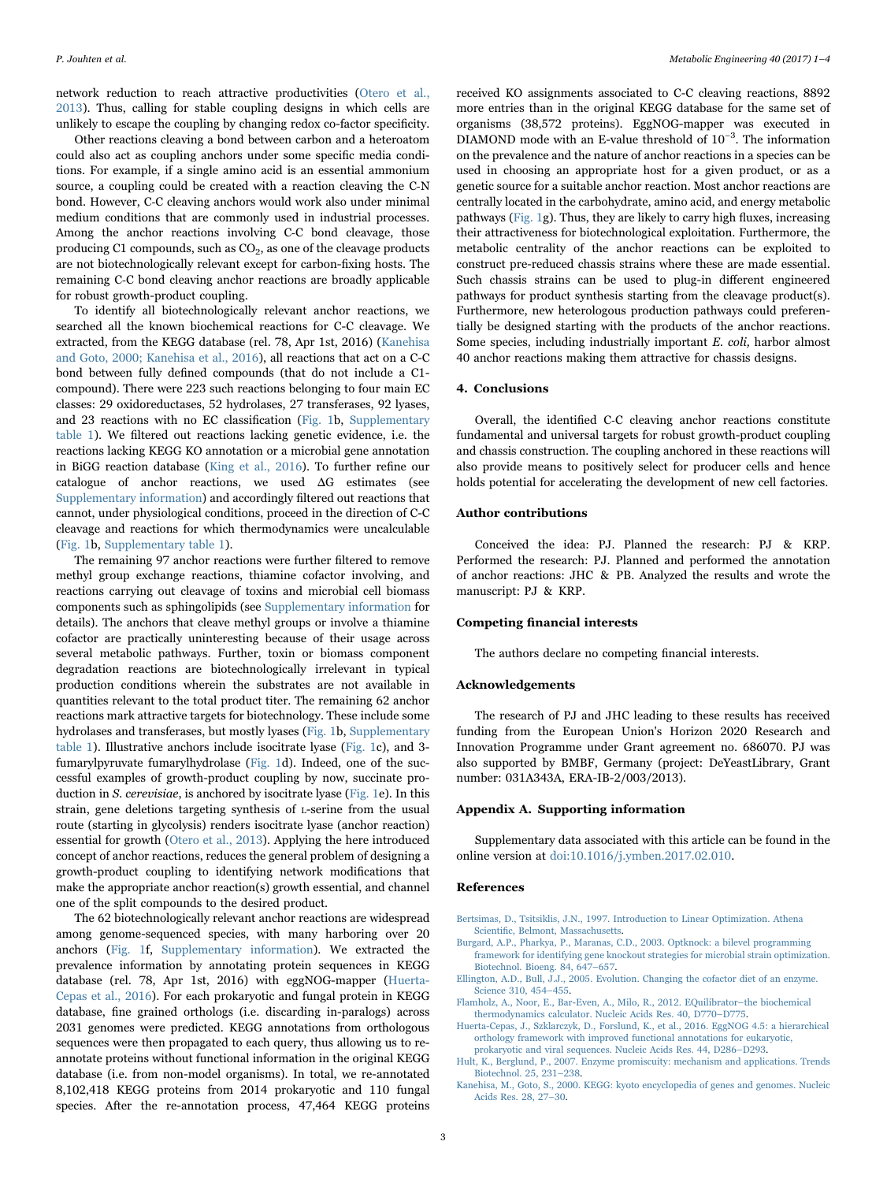network reduction to reach attractive productivities ([Otero et al.,](#page-3-4) [2013\)](#page-3-4). Thus, calling for stable coupling designs in which cells are unlikely to escape the coupling by changing redox co-factor specificity.

Other reactions cleaving a bond between carbon and a heteroatom could also act as coupling anchors under some specific media conditions. For example, if a single amino acid is an essential ammonium source, a coupling could be created with a reaction cleaving the C-N bond. However, C‐C cleaving anchors would work also under minimal medium conditions that are commonly used in industrial processes. Among the anchor reactions involving C-C bond cleavage, those producing C1 compounds, such as  $CO<sub>2</sub>$ , as one of the cleavage products are not biotechnologically relevant except for carbon-fixing hosts. The remaining C‐C bond cleaving anchor reactions are broadly applicable for robust growth-product coupling.

To identify all biotechnologically relevant anchor reactions, we searched all the known biochemical reactions for C-C cleavage. We extracted, from the KEGG database (rel. 78, Apr 1st, 2016) [\(Kanehisa](#page-2-3) [and Goto, 2000; Kanehisa et al., 2016\)](#page-2-3), all reactions that act on a C-C bond between fully defined compounds (that do not include a C1 compound). There were 223 such reactions belonging to four main EC classes: 29 oxidoreductases, 52 hydrolases, 27 transferases, 92 lyases, and 23 reactions with no EC classification ([Fig. 1](#page-1-0)b, Supplementary table 1). We filtered out reactions lacking genetic evidence, i.e. the reactions lacking KEGG KO annotation or a microbial gene annotation in BiGG reaction database ([King et al., 2016\)](#page-3-6). To further refine our catalogue of anchor reactions, we used ΔG estimates (see Supplementary information) and accordingly filtered out reactions that cannot, under physiological conditions, proceed in the direction of C-C cleavage and reactions for which thermodynamics were uncalculable ([Fig. 1](#page-1-0)b, Supplementary table 1).

The remaining 97 anchor reactions were further filtered to remove methyl group exchange reactions, thiamine cofactor involving, and reactions carrying out cleavage of toxins and microbial cell biomass components such as sphingolipids (see Supplementary information for details). The anchors that cleave methyl groups or involve a thiamine cofactor are practically uninteresting because of their usage across several metabolic pathways. Further, toxin or biomass component degradation reactions are biotechnologically irrelevant in typical production conditions wherein the substrates are not available in quantities relevant to the total product titer. The remaining 62 anchor reactions mark attractive targets for biotechnology. These include some hydrolases and transferases, but mostly lyases [\(Fig. 1](#page-1-0)b, Supplementary table 1). Illustrative anchors include isocitrate lyase [\(Fig. 1c](#page-1-0)), and 3 fumarylpyruvate fumarylhydrolase [\(Fig. 1](#page-1-0)d). Indeed, one of the successful examples of growth-product coupling by now, succinate production in S. cerevisiae, is anchored by isocitrate lyase ([Fig. 1e](#page-1-0)). In this strain, gene deletions targeting synthesis of L-serine from the usual route (starting in glycolysis) renders isocitrate lyase (anchor reaction) essential for growth ([Otero et al., 2013](#page-3-4)). Applying the here introduced concept of anchor reactions, reduces the general problem of designing a growth-product coupling to identifying network modifications that make the appropriate anchor reaction(s) growth essential, and channel one of the split compounds to the desired product.

The 62 biotechnologically relevant anchor reactions are widespread among genome-sequenced species, with many harboring over 20 anchors [\(Fig. 1](#page-1-0)f, Supplementary information). We extracted the prevalence information by annotating protein sequences in KEGG database (rel. 78, Apr 1st, 2016) with eggNOG-mapper ([Huerta-](#page-2-4)[Cepas et al., 2016\)](#page-2-4). For each prokaryotic and fungal protein in KEGG database, fine grained orthologs (i.e. discarding in-paralogs) across 2031 genomes were predicted. KEGG annotations from orthologous sequences were then propagated to each query, thus allowing us to reannotate proteins without functional information in the original KEGG database (i.e. from non-model organisms). In total, we re-annotated 8,102,418 KEGG proteins from 2014 prokaryotic and 110 fungal species. After the re-annotation process, 47,464 KEGG proteins

received KO assignments associated to C-C cleaving reactions, 8892 more entries than in the original KEGG database for the same set of organisms (38,572 proteins). EggNOG-mapper was executed in DIAMOND mode with an E-value threshold of 10−<sup>3</sup> . The information on the prevalence and the nature of anchor reactions in a species can be used in choosing an appropriate host for a given product, or as a genetic source for a suitable anchor reaction. Most anchor reactions are centrally located in the carbohydrate, amino acid, and energy metabolic pathways ([Fig. 1g](#page-1-0)). Thus, they are likely to carry high fluxes, increasing their attractiveness for biotechnological exploitation. Furthermore, the metabolic centrality of the anchor reactions can be exploited to construct pre-reduced chassis strains where these are made essential. Such chassis strains can be used to plug-in different engineered pathways for product synthesis starting from the cleavage product(s). Furthermore, new heterologous production pathways could preferentially be designed starting with the products of the anchor reactions. Some species, including industrially important E. coli, harbor almost 40 anchor reactions making them attractive for chassis designs.

#### 4. Conclusions

Overall, the identified C‐C cleaving anchor reactions constitute fundamental and universal targets for robust growth-product coupling and chassis construction. The coupling anchored in these reactions will also provide means to positively select for producer cells and hence holds potential for accelerating the development of new cell factories.

## Author contributions

Conceived the idea: PJ. Planned the research: PJ & KRP. Performed the research: PJ. Planned and performed the annotation of anchor reactions: JHC & PB. Analyzed the results and wrote the manuscript: PJ & KRP.

### Competing financial interests

The authors declare no competing financial interests.

### Acknowledgements

The research of PJ and JHC leading to these results has received funding from the European Union's Horizon 2020 Research and Innovation Programme under Grant agreement no. 686070. PJ was also supported by BMBF, Germany (project: DeYeastLibrary, Grant number: 031A343A, ERA-IB-2/003/2013).

#### Appendix A. Supporting information

Supplementary data associated with this article can be found in the online version at [doi:10.1016/j.ymben.2017.02.010](http://dx.doi.org/10.1016/j.ymben.2017.02.010).

#### References

- <span id="page-2-1"></span>[Bertsimas, D., Tsitsiklis, J.N., 1997. Introduction to Linear Optimization. Athena](http://refhub.elsevier.com/S1096-7176(16)30096-9/sbref1) Scientifi[c, Belmont, Massachusetts](http://refhub.elsevier.com/S1096-7176(16)30096-9/sbref1).
- <span id="page-2-0"></span>[Burgard, A.P., Pharkya, P., Maranas, C.D., 2003. Optknock: a bilevel programming](http://refhub.elsevier.com/S1096-7176(16)30096-9/sbref2) [framework for identifying gene knockout strategies for microbial strain optimization.](http://refhub.elsevier.com/S1096-7176(16)30096-9/sbref2) [Biotechnol. Bioeng. 84, 647](http://refhub.elsevier.com/S1096-7176(16)30096-9/sbref2)–657.
- <span id="page-2-2"></span>[Ellington, A.D., Bull, J.J., 2005. Evolution. Changing the cofactor diet of an enzyme.](http://refhub.elsevier.com/S1096-7176(16)30096-9/sbref3) [Science 310, 454](http://refhub.elsevier.com/S1096-7176(16)30096-9/sbref3)–455.
- [Flamholz, A., Noor, E., Bar-Even, A., Milo, R., 2012. EQuilibrator](http://refhub.elsevier.com/S1096-7176(16)30096-9/sbref4)–the biochemical [thermodynamics calculator. Nucleic Acids Res. 40, D770](http://refhub.elsevier.com/S1096-7176(16)30096-9/sbref4)–D775.
- <span id="page-2-4"></span>[Huerta-Cepas, J., Szklarczyk, D., Forslund, K., et al., 2016. EggNOG 4.5: a hierarchical](http://refhub.elsevier.com/S1096-7176(16)30096-9/sbref5) [orthology framework with improved functional annotations for eukaryotic,](http://refhub.elsevier.com/S1096-7176(16)30096-9/sbref5) [prokaryotic and viral sequences. Nucleic Acids Res. 44, D286](http://refhub.elsevier.com/S1096-7176(16)30096-9/sbref5)–D293.
- [Hult, K., Berglund, P., 2007. Enzyme promiscuity: mechanism and applications. Trends](http://refhub.elsevier.com/S1096-7176(16)30096-9/sbref6) [Biotechnol. 25, 231](http://refhub.elsevier.com/S1096-7176(16)30096-9/sbref6)–238.
- <span id="page-2-3"></span>[Kanehisa, M., Goto, S., 2000. KEGG: kyoto encyclopedia of genes and genomes. Nucleic](http://refhub.elsevier.com/S1096-7176(16)30096-9/sbref7) [Acids Res. 28, 27](http://refhub.elsevier.com/S1096-7176(16)30096-9/sbref7)–30.